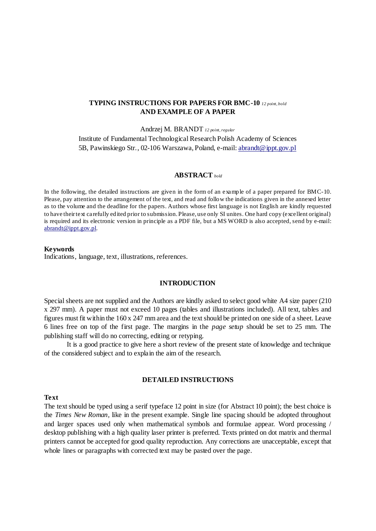# **TYPING INSTRUCTIONS FOR PAPERS FOR BMC-10** *12 point, bold* **AND EXAMPLE OF A PAPER**

#### Andrzej M. BRANDT *12 point, regular*

Institute of Fundamental Technological Research Polish Academy of Sciences 5B, Pawinskiego Str., 02-106 Warszawa, Poland, e-mail: [abrandt@ippt.gov.pl](mailto:abrandt@ippt.gov.pl)

#### **ABSTRACT** *bold*

In the following, the detailed instructions are given in the form of an example of a paper prepared for BMC-10. Please, pay attention to the arrangement of the text, and read and follow the indications given in the annexed letter as to the volume and the deadline for the papers. Authors whose first language is not English are kindly requested to have their text carefully edited prior to submission. Please, use only SI unites. One hard copy (excellent original) is required and its electronic version in principle as a PDF file, but a MS WORD is also accepted, send by e-mail: [abrandt@ippt.gov.pl.](mailto:abrandt@ippt.gov.pl)

#### **Keywords**

Indications, language, text, illustrations, references.

### **INTRODUCTION**

Special sheets are not supplied and the Authors are kindly asked to select good white A4 size paper (210 x 297 mm). A paper must not exceed 10 pages (tables and illustrations included). All text, tables and figures must fit within the 160 x 247 mm area and the text should be printed on one side of a sheet. Leave 6 lines free on top of the first page. The margins in the *page setup* should be set to 25 mm. The publishing staff will do no correcting, editing or retyping.

It is a good practice to give here a short review of the present state of knowledge and technique of the considered subject and to explain the aim of the research.

### **DETAILED INSTRUCTIONS**

### **Text**

The text should be typed using a serif typeface 12 point in size (for Abstract 10 point); the best choice is the *Times New Roman,* like in the present example. Single line spacing should be adopted throughout and larger spaces used only when mathematical symbols and formulae appear. Word processing / desktop publishing with a high quality laser printer is preferred. Texts printed on dot matrix and thermal printers cannot be accepted for good quality reproduction. Any corrections are unacceptable, except that whole lines or paragraphs with corrected text may be pasted over the page.